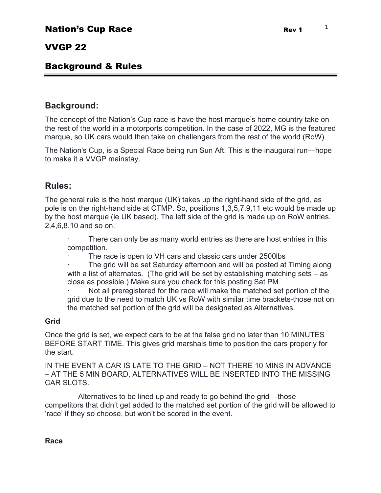## VVGP 22

# Background & Rules

## **Background:**

The concept of the Nation's Cup race is have the host marque's home country take on the rest of the world in a motorports competition. In the case of 2022, MG is the featured marque, so UK cars would then take on challengers from the rest of the world (RoW)

The Nation's Cup, is a Special Race being run Sun Aft. This is the inaugural run—hope to make it a VVGP mainstay.

### **Rules:**

The general rule is the host marque (UK) takes up the right-hand side of the grid, as pole is on the right-hand side at CTMP. So, positions 1,3,5,7,9,11 etc would be made up by the host marque (ie UK based). The left side of the grid is made up on RoW entries. 2,4,6,8,10 and so on.

There can only be as many world entries as there are host entries in this competition.

The race is open to VH cars and classic cars under 2500lbs

The grid will be set Saturday afternoon and will be posted at Timing along with a list of alternates. (The grid will be set by establishing matching sets – as close as possible.) Make sure you check for this posting Sat PM

Not all preregistered for the race will make the matched set portion of the grid due to the need to match UK vs RoW with similar time brackets-those not on the matched set portion of the grid will be designated as Alternatives.

### **Grid**

Once the grid is set, we expect cars to be at the false grid no later than 10 MINUTES BEFORE START TIME. This gives grid marshals time to position the cars properly for the start.

IN THE EVENT A CAR IS LATE TO THE GRID – NOT THERE 10 MINS IN ADVANCE – AT THE 5 MIN BOARD, ALTERNATIVES WILL BE INSERTED INTO THE MISSING CAR SLOTS.

 Alternatives to be lined up and ready to go behind the grid – those competitors that didn't get added to the matched set portion of the grid will be allowed to 'race' if they so choose, but won't be scored in the event.

### **Race**